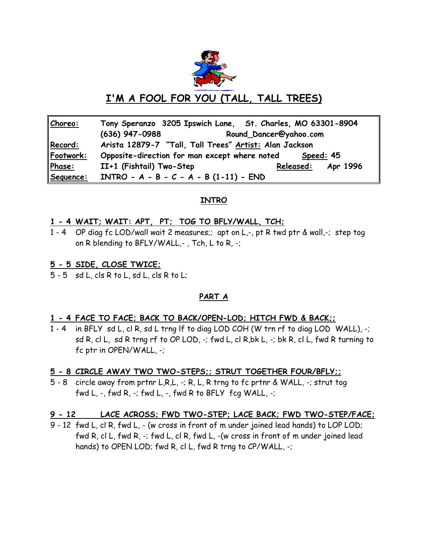

# **I'M A FOOL FOR YOU (TALL, TALL TREES)**

| Choreo:   | Tony Speranzo 3205 Ipswich Lane, St. Charles, MO 63301-8904 |  |
|-----------|-------------------------------------------------------------|--|
|           | $(636)$ 947-0988<br>Round_Dancer@yahoo.com                  |  |
| Record:   | Arista 12879-7 "Tall, Tall Trees" Artist: Alan Jackson      |  |
| Footwork: | Opposite-direction for man except where noted<br>Speed: 45  |  |
| Phase:    | II+1 (Fishtail) Two-Step<br><u> Relea</u> sed:<br>Apr 1996  |  |
| Sequence: | $INTRO - A - B - C - A - B (1-11) - END$                    |  |

# **INTRO**

# **1 - 4 WAIT; WAIT: APT, PT; TOG TO BFLY/WALL, TCH;**

1 - 4 OP diag fc LOD/wall wait 2 measures;; apt on L,-, pt R twd ptr & wall,-; step tog on R blending to BFLY/WALL,- , Tch, L to R, -;

# **5 - 5 SIDE, CLOSE TWICE;**

5 - 5 sd L, cls R to L, sd L, cls R to L;

# **PART A**

### **1 - 4 FACE TO FACE; BACK TO BACK/OPEN-LOD; HITCH FWD & BACK;;**

1 - 4 in BFLY sd L, cl R, sd L trng lf to diag LOD COH (W trn rf to diag LOD WALL), -; sd R, cl L, sd R trng rf to OP LOD, -; fwd L, cl R,bk L, -; bk R, cl L, fwd R turning to fc ptr in OPEN/WALL, -;

# **5 - 8 CIRCLE AWAY TWO TWO-STEPS;; STRUT TOGETHER FOUR/BFLY;;**

5 - 8 circle away from prtnr L,R,L, -; R, L, R trng to fc prtnr & WALL, -; strut tog fwd L,  $-$ , fwd R,  $-$ ; fwd L,  $-$ , fwd R to BFLY fcg WALL,  $-$ ;

# **9 - 12 LACE ACROSS; FWD TWO-STEP; LACE BACK; FWD TWO-STEP/FACE;**

9 - 12 fwd L, cl R, fwd L, - (w cross in front of m under joined lead hands) to LOP LOD; fwd R, cl L, fwd R, -; fwd L, cl R, fwd L, -(w cross in front of m under joined lead hands) to OPEN LOD; fwd R, cl L, fwd R trng to CP/WALL, -;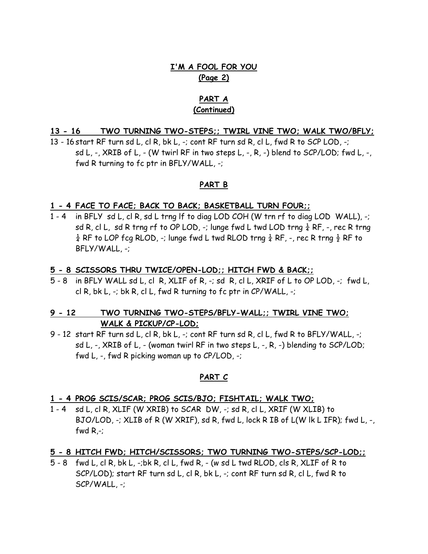# **I'M A FOOL FOR YOU (Page 2)**

# **PART A (Continued)**

### **13 - 16 TWO TURNING TWO-STEPS;; TWIRL VINE TWO; WALK TWO/BFLY;**

13 - 16 start RF turn sd L, cl R, bk L, -; cont RF turn sd R, cl L, fwd R to SCP LOD, -; sd L,  $-$ , XRIB of L,  $-$  (W twirl RF in two steps L,  $-$ , R,  $-$ ) blend to SCP/LOD; fwd L,  $-$ , fwd R turning to fc ptr in BFLY/WALL, -;

### **PART B**

#### **1 - 4 FACE TO FACE; BACK TO BACK; BASKETBALL TURN FOUR;;**

1 - 4 in BFLY sd L, cl R, sd L trng lf to diag LOD COH (W trn rf to diag LOD WALL), -; sd R, cl L, sd R trng rf to OP LOD, -; lunge fwd L twd LOD trng  $\frac{1}{4}$  RF, -, rec R trng  $\frac{1}{4}$  RF to LOP fcg RLOD, -; lunge fwd L twd RLOD trng  $\frac{1}{4}$  RF, -, rec R trng  $\frac{1}{2}$  RF to BFLY/WALL, -;

#### **5 - 8 SCISSORS THRU TWICE/OPEN-LOD;; HITCH FWD & BACK;;**

5 - 8 in BFLY WALL sd L, cl R, XLIF of R, -; sd R, cl L, XRIF of L to OP LOD, -; fwd L, cl R, bk L, -; bk R, cl L, fwd R turning to fc ptr in CP/WALL, -;

# **9 - 12 TWO TURNING TWO-STEPS/BFLY-WALL;; TWIRL VINE TWO; WALK & PICKUP/CP-LOD;**

9 - 12 start RF turn sd L, cl R, bk L, -; cont RF turn sd R, cl L, fwd R to BFLY/WALL, -; sd L, -, XRIB of L, - (woman twirl RF in two steps L, -, R, -) blending to SCP/LOD; fwd L, -, fwd R picking woman up to CP/LOD, -;

### **PART C**

#### **1 - 4 PROG SCIS/SCAR; PROG SCIS/BJO; FISHTAIL; WALK TWO;**

1 - 4 sd L, cl R, XLIF (W XRIB) to SCAR DW, -; sd R, cl L, XRIF (W XLIB) to BJO/LOD, -; XLIB of R (W XRIF), sd R, fwd L, lock R IB of L(W lk L IFR); fwd L, -, fwd  $R_{.}$ -;

# **5 - 8 HITCH FWD; HITCH/SCISSORS; TWO TURNING TWO-STEPS/SCP-LOD;;**

5 - 8 fwd L, cl R, bk L, -;bk R, cl L, fwd R, - (w sd L twd RLOD, cls R, XLIF of R to SCP/LOD); start RF turn sd L, cl R, bk L, -; cont RF turn sd R, cl L, fwd R to SCP/WALL, -;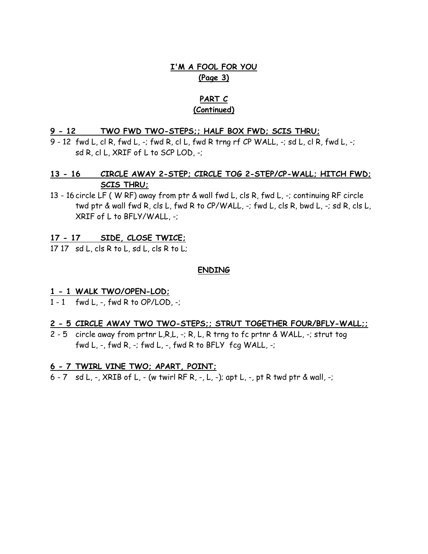# **I'M A FOOL FOR YOU (Page 3)**

# **PART C (Continued)**

### **9 - 12 TWO FWD TWO-STEPS;; HALF BOX FWD; SCIS THRU;**

9 - 12 fwd L, cl R, fwd L, -; fwd R, cl L, fwd R trng rf CP WALL, -; sd L, cl R, fwd L, -; sd R, cl L, XRIF of L to SCP LOD, -;

# **13 - 16 CIRCLE AWAY 2-STEP; CIRCLE TOG 2-STEP/CP-WALL; HITCH FWD; SCIS THRU;**

13 - 16 circle LF ( W RF) away from ptr & wall fwd L, cls R, fwd L, -; continuing RF circle twd ptr & wall fwd R, cls L, fwd R to CP/WALL, -; fwd L, cls R, bwd L, -; sd R, cls L, XRIF of L to BFLY/WALL, -;

# **17 - 17 SIDE, CLOSE TWICE;**

17 17 sd L, cls R to L, sd L, cls R to L;

### **ENDING**

# **1 - 1 WALK TWO/OPEN-LOD;**

1 - 1 fwd L, -, fwd R to OP/LOD, -;

### **2 - 5 CIRCLE AWAY TWO TWO-STEPS;; STRUT TOGETHER FOUR/BFLY-WALL;;**

2 - 5 circle away from prtnr L,R,L, -; R, L, R trng to fc prtnr & WALL, -; strut tog fwd L,  $-$ , fwd R,  $-$ ; fwd L,  $-$ , fwd R to BFLY fcg WALL,  $-$ ;

# **6 - 7 TWIRL VINE TWO; APART, POINT;**

6 - 7 sd L, -, XRIB of L, - (w twirl RF R, -, L, -); apt L, -, pt R twd ptr & wall, -;